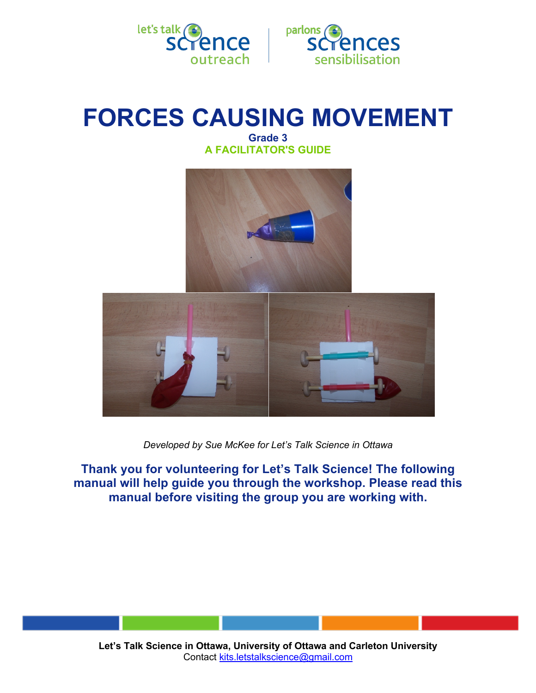



# **FORCES CAUSING MOVEMENT**

**Grade 3 A FACILITATOR'S GUIDE**



*Developed by Sue McKee for Let's Talk Science in Ottawa*

**Thank you for volunteering for Let's Talk Science! The following manual will help guide you through the workshop. Please read this manual before visiting the group you are working with.**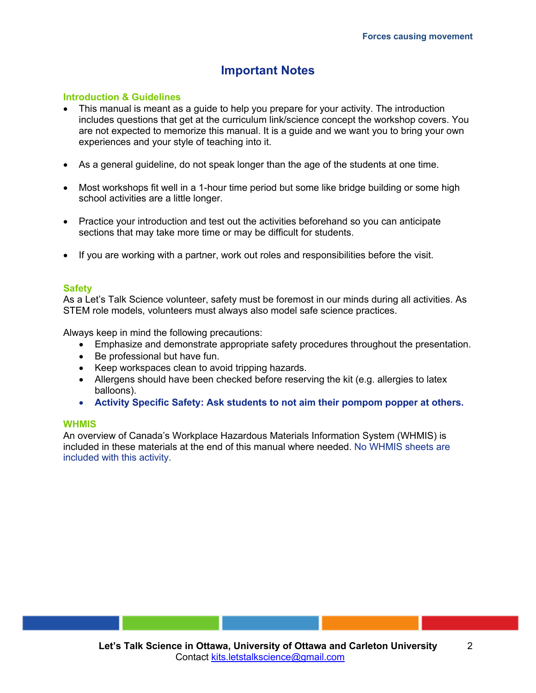# **Important Notes**

### **Introduction & Guidelines**

- This manual is meant as a guide to help you prepare for your activity. The introduction includes questions that get at the curriculum link/science concept the workshop covers. You are not expected to memorize this manual. It is a guide and we want you to bring your own experiences and your style of teaching into it.
- As a general guideline, do not speak longer than the age of the students at one time.
- Most workshops fit well in a 1-hour time period but some like bridge building or some high school activities are a little longer.
- Practice your introduction and test out the activities beforehand so you can anticipate sections that may take more time or may be difficult for students.
- If you are working with a partner, work out roles and responsibilities before the visit.

### **Safety**

As a Let's Talk Science volunteer, safety must be foremost in our minds during all activities. As STEM role models, volunteers must always also model safe science practices.

Always keep in mind the following precautions:

- Emphasize and demonstrate appropriate safety procedures throughout the presentation.
- Be professional but have fun.
- Keep workspaces clean to avoid tripping hazards.
- Allergens should have been checked before reserving the kit (e.g. allergies to latex balloons).
- **Activity Specific Safety: Ask students to not aim their pompom popper at others.**

### **WHMIS**

An overview of Canada's Workplace Hazardous Materials Information System (WHMIS) is included in these materials at the end of this manual where needed. No WHMIS sheets are included with this activity.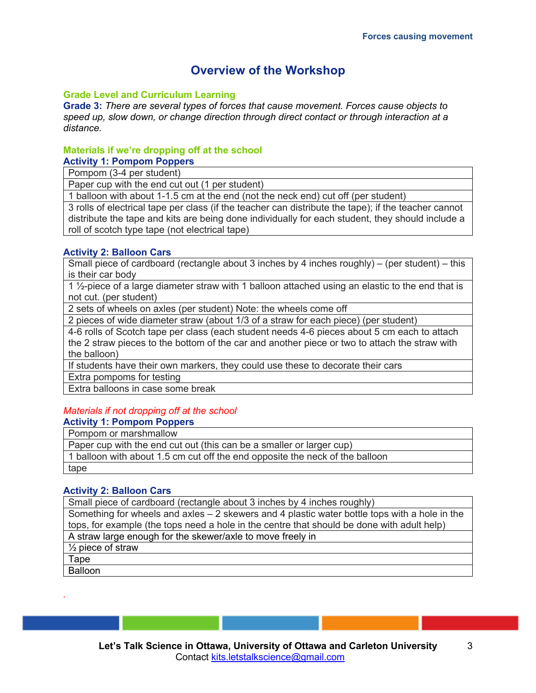# **Overview of the Workshop**

### **Grade Level and Curriculum Learning**

**Grade 3:** *There are several types of forces that cause movement. Forces cause objects to speed up, slow down, or change direction through direct contact or through interaction at a distance.*

### **Materials if we're dropping off at the school**

**Activity 1: Pompom Poppers**

Pompom (3-4 per student)

Paper cup with the end cut out (1 per student)

1 balloon with about 1-1.5 cm at the end (not the neck end) cut off (per student)

3 rolls of electrical tape per class (if the teacher can distribute the tape); if the teacher cannot distribute the tape and kits are being done individually for each student, they should include a roll of scotch type tape (not electrical tape)

### **Activity 2: Balloon Cars**

Small piece of cardboard (rectangle about 3 inches by 4 inches roughly) – (per student) – this is their car body

1  $\frac{1}{2}$ -piece of a large diameter straw with 1 balloon attached using an elastic to the end that is not cut. (per student)

2 sets of wheels on axles (per student) Note: the wheels come off

2 pieces of wide diameter straw (about 1/3 of a straw for each piece) (per student)

4-6 rolls of Scotch tape per class (each student needs 4-6 pieces about 5 cm each to attach the 2 straw pieces to the bottom of the car and another piece or two to attach the straw with the balloon)

If students have their own markers, they could use these to decorate their cars

Extra pompoms for testing

Extra balloons in case some break

#### *Materials if not dropping off at the school* **Activity 1: Pompom Poppers**

Pompom or marshmallow

Paper cup with the end cut out (this can be a smaller or larger cup)

1 balloon with about 1.5 cm cut off the end opposite the neck of the balloon tape

### **Activity 2: Balloon Cars**

Small piece of cardboard (rectangle about 3 inches by 4 inches roughly)

Something for wheels and axles – 2 skewers and 4 plastic water bottle tops with a hole in the tops, for example (the tops need a hole in the centre that should be done with adult help)

A straw large enough for the skewer/axle to move freely in

½ piece of straw

Tape

*.*

Balloon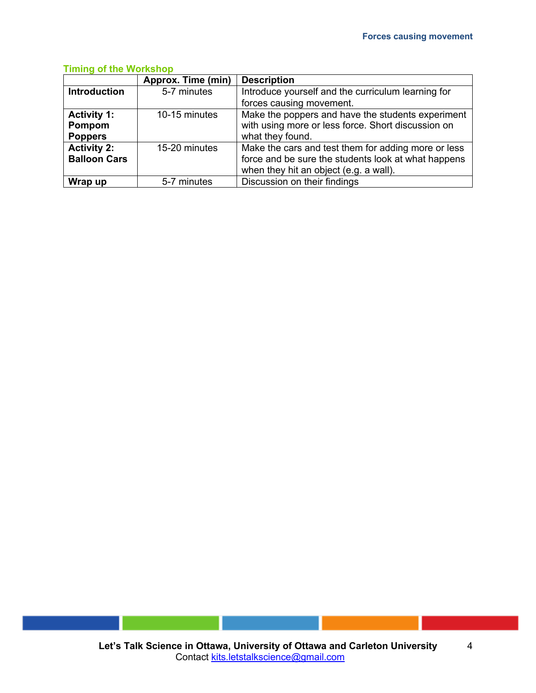### **Timing of the Workshop**

|                     | Approx. Time (min) | <b>Description</b>                                  |
|---------------------|--------------------|-----------------------------------------------------|
| <b>Introduction</b> | 5-7 minutes        | Introduce yourself and the curriculum learning for  |
|                     |                    | forces causing movement.                            |
| <b>Activity 1:</b>  | 10-15 minutes      | Make the poppers and have the students experiment   |
| Pompom              |                    | with using more or less force. Short discussion on  |
| <b>Poppers</b>      |                    | what they found.                                    |
| <b>Activity 2:</b>  | 15-20 minutes      | Make the cars and test them for adding more or less |
| <b>Balloon Cars</b> |                    | force and be sure the students look at what happens |
|                     |                    | when they hit an object (e.g. a wall).              |
| Wrap up             | 5-7 minutes        | Discussion on their findings                        |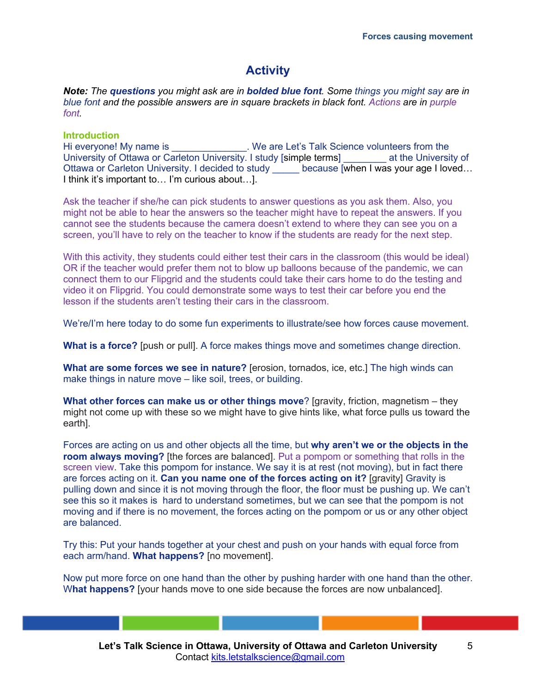# **Activity**

*Note: The questions you might ask are in bolded blue font. Some things you might say are in blue font and the possible answers are in square brackets in black font. Actions are in purple font.*

### **Introduction**

Hi everyone! My name is The Science volunteers from the Science volunteers from the University of Ottawa or Carleton University. I study [simple terms] at the University of Ottawa or Carleton University. I decided to study because [when I was your age I loved... I think it's important to… I'm curious about…].

Ask the teacher if she/he can pick students to answer questions as you ask them. Also, you might not be able to hear the answers so the teacher might have to repeat the answers. If you cannot see the students because the camera doesn't extend to where they can see you on a screen, you'll have to rely on the teacher to know if the students are ready for the next step.

With this activity, they students could either test their cars in the classroom (this would be ideal) OR if the teacher would prefer them not to blow up balloons because of the pandemic, we can connect them to our Flipgrid and the students could take their cars home to do the testing and video it on Flipgrid. You could demonstrate some ways to test their car before you end the lesson if the students aren't testing their cars in the classroom.

We're/I'm here today to do some fun experiments to illustrate/see how forces cause movement.

**What is a force?** [push or pull]. A force makes things move and sometimes change direction.

**What are some forces we see in nature?** [erosion, tornados, ice, etc.] The high winds can make things in nature move – like soil, trees, or building.

**What other forces can make us or other things move**? [gravity, friction, magnetism – they might not come up with these so we might have to give hints like, what force pulls us toward the earth].

Forces are acting on us and other objects all the time, but **why aren't we or the objects in the room always moving?** [the forces are balanced]. Put a pompom or something that rolls in the screen view. Take this pompom for instance. We say it is at rest (not moving), but in fact there are forces acting on it. **Can you name one of the forces acting on it?** [gravity] Gravity is pulling down and since it is not moving through the floor, the floor must be pushing up. We can't see this so it makes is hard to understand sometimes, but we can see that the pompom is not moving and if there is no movement, the forces acting on the pompom or us or any other object are balanced.

Try this: Put your hands together at your chest and push on your hands with equal force from each arm/hand. **What happens?** [no movement].

Now put more force on one hand than the other by pushing harder with one hand than the other. W**hat happens?** [your hands move to one side because the forces are now unbalanced].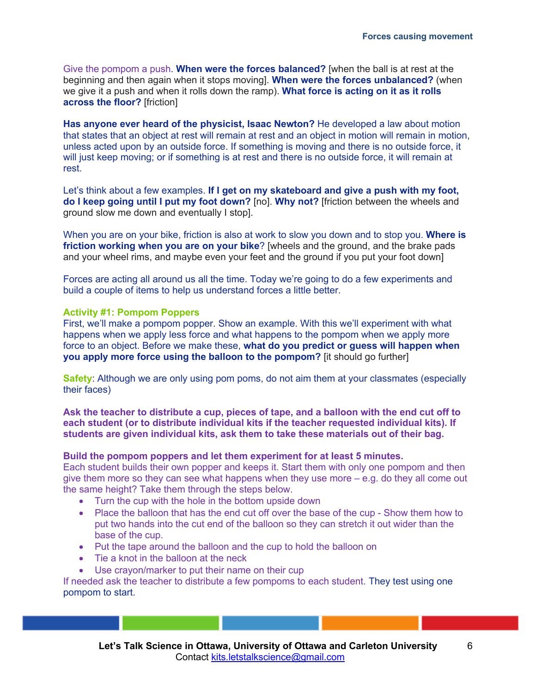Give the pompom a push. **When were the forces balanced?** [when the ball is at rest at the beginning and then again when it stops moving]. **When were the forces unbalanced?** (when we give it a push and when it rolls down the ramp). **What force is acting on it as it rolls across the floor?** [friction]

**Has anyone ever heard of the physicist, Isaac Newton?** He developed a law about motion that states that an object at rest will remain at rest and an object in motion will remain in motion, unless acted upon by an outside force. If something is moving and there is no outside force, it will just keep moving; or if something is at rest and there is no outside force, it will remain at rest.

Let's think about a few examples. **If I get on my skateboard and give a push with my foot, do I keep going until I put my foot down?** [no]. **Why not?** [friction between the wheels and ground slow me down and eventually I stop].

When you are on your bike, friction is also at work to slow you down and to stop you. **Where is friction working when you are on your bike**? [wheels and the ground, and the brake pads and your wheel rims, and maybe even your feet and the ground if you put your foot down]

Forces are acting all around us all the time. Today we're going to do a few experiments and build a couple of items to help us understand forces a little better.

### **Activity #1: Pompom Poppers**

First, we'll make a pompom popper. Show an example. With this we'll experiment with what happens when we apply less force and what happens to the pompom when we apply more force to an object. Before we make these, **what do you predict or guess will happen when you apply more force using the balloon to the pompom?** [it should go further]

**Safety:** Although we are only using pom poms, do not aim them at your classmates (especially their faces)

**Ask the teacher to distribute a cup, pieces of tape, and a balloon with the end cut off to each student (or to distribute individual kits if the teacher requested individual kits). If students are given individual kits, ask them to take these materials out of their bag.** 

### **Build the pompom poppers and let them experiment for at least 5 minutes.**

Each student builds their own popper and keeps it. Start them with only one pompom and then give them more so they can see what happens when they use more – e.g. do they all come out the same height? Take them through the steps below.

- Turn the cup with the hole in the bottom upside down
- Place the balloon that has the end cut off over the base of the cup Show them how to put two hands into the cut end of the balloon so they can stretch it out wider than the base of the cup.
- Put the tape around the balloon and the cup to hold the balloon on
- Tie a knot in the balloon at the neck
- Use crayon/marker to put their name on their cup

If needed ask the teacher to distribute a few pompoms to each student. They test using one pompom to start.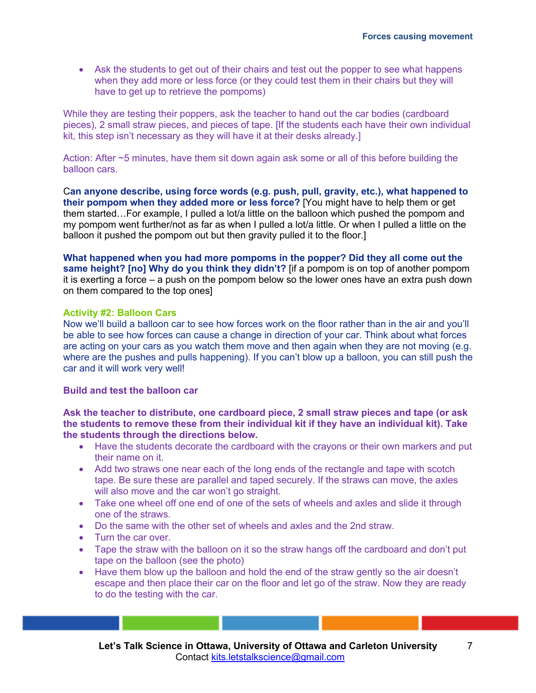• Ask the students to get out of their chairs and test out the popper to see what happens when they add more or less force (or they could test them in their chairs but they will have to get up to retrieve the pompoms)

While they are testing their poppers, ask the teacher to hand out the car bodies (cardboard pieces), 2 small straw pieces, and pieces of tape. [If the students each have their own individual kit, this step isn't necessary as they will have it at their desks already.]

Action: After ~5 minutes, have them sit down again ask some or all of this before building the balloon cars.

C**an anyone describe, using force words (e.g. push, pull, gravity, etc.), what happened to their pompom when they added more or less force?** [You might have to help them or get them started…For example, I pulled a lot/a little on the balloon which pushed the pompom and my pompom went further/not as far as when I pulled a lot/a little. Or when I pulled a little on the balloon it pushed the pompom out but then gravity pulled it to the floor.]

**What happened when you had more pompoms in the popper? Did they all come out the same height? [no] Why do you think they didn't?** [if a pompom is on top of another pompom it is exerting a force – a push on the pompom below so the lower ones have an extra push down on them compared to the top ones]

### **Activity #2: Balloon Cars**

Now we'll build a balloon car to see how forces work on the floor rather than in the air and you'll be able to see how forces can cause a change in direction of your car. Think about what forces are acting on your cars as you watch them move and then again when they are not moving (e.g. where are the pushes and pulls happening). If you can't blow up a balloon, you can still push the car and it will work very well!

### **Build and test the balloon car**

**Ask the teacher to distribute, one cardboard piece, 2 small straw pieces and tape (or ask the students to remove these from their individual kit if they have an individual kit). Take the students through the directions below.** 

- Have the students decorate the cardboard with the crayons or their own markers and put their name on it.
- Add two straws one near each of the long ends of the rectangle and tape with scotch tape. Be sure these are parallel and taped securely. If the straws can move, the axles will also move and the car won't go straight.
- Take one wheel off one end of one of the sets of wheels and axles and slide it through one of the straws.
- Do the same with the other set of wheels and axles and the 2nd straw.
- Turn the car over.
- Tape the straw with the balloon on it so the straw hangs off the cardboard and don't put tape on the balloon (see the photo)
- Have them blow up the balloon and hold the end of the straw gently so the air doesn't escape and then place their car on the floor and let go of the straw. Now they are ready to do the testing with the car.